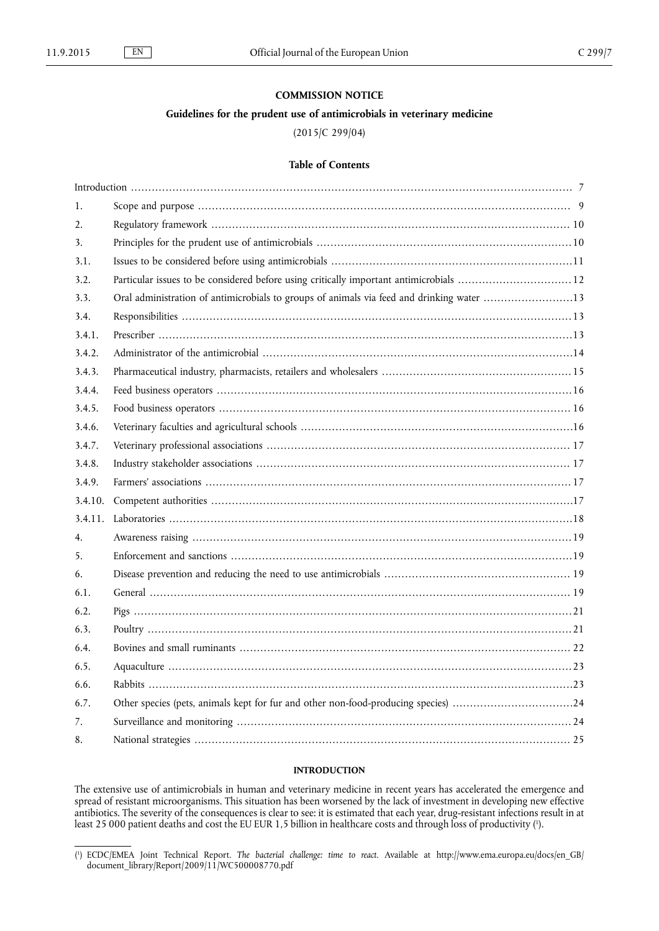# **COMMISSION NOTICE**

# **Guidelines for the prudent use of antimicrobials in veterinary medicine**

# (2015/C 299/04)

# **Table of Contents**

| 1.               |                                                                                           |
|------------------|-------------------------------------------------------------------------------------------|
| $\overline{2}$ . |                                                                                           |
| 3.               |                                                                                           |
| 3.1.             |                                                                                           |
| 3.2.             | Particular issues to be considered before using critically important antimicrobials 12    |
| 3.3.             | Oral administration of antimicrobials to groups of animals via feed and drinking water 13 |
| 3.4.             |                                                                                           |
| 3.4.1.           |                                                                                           |
| 3.4.2.           |                                                                                           |
| 3.4.3.           |                                                                                           |
| 3.4.4.           |                                                                                           |
| 3.4.5.           |                                                                                           |
| 3.4.6.           |                                                                                           |
| 3.4.7.           |                                                                                           |
| 3.4.8.           |                                                                                           |
| 3.4.9.           |                                                                                           |
|                  |                                                                                           |
| 3.4.11.          |                                                                                           |
| 4.               |                                                                                           |
| 5.               |                                                                                           |
| 6.               |                                                                                           |
| 6.1.             |                                                                                           |
| 6.2.             |                                                                                           |
| 6.3.             |                                                                                           |
| 6.4.             |                                                                                           |
| 6.5.             |                                                                                           |
| 6.6.             |                                                                                           |
| 6.7.             | Other species (pets, animals kept for fur and other non-food-producing species) 24        |
| 7.               |                                                                                           |
| 8.               |                                                                                           |
|                  |                                                                                           |

# **INTRODUCTION**

The extensive use of antimicrobials in human and veterinary medicine in recent years has accelerated the emergence and spread of resistant microorganisms. This situation has been worsened by the lack of investment in developing new effective antibiotics. The severity of the consequences is clear to see: it is estimated that each year, drug-resistant infections result in at least 25 000 patient deaths and cost the EU EUR 1,5 billion in healthcare costs and through loss of productivity (').

<sup>(</sup> 1 ) ECDC/EMEA Joint Technical Report. *The bacterial challenge: time to react*. Available at [http://www.ema.europa.eu/docs/en\\_GB/](http://www.ema.europa.eu/docs/en_GB/document_library/Report/2009/11/WC500008770.pdf) [document\\_library/Report/2009/11/WC500008770.pdf](http://www.ema.europa.eu/docs/en_GB/document_library/Report/2009/11/WC500008770.pdf)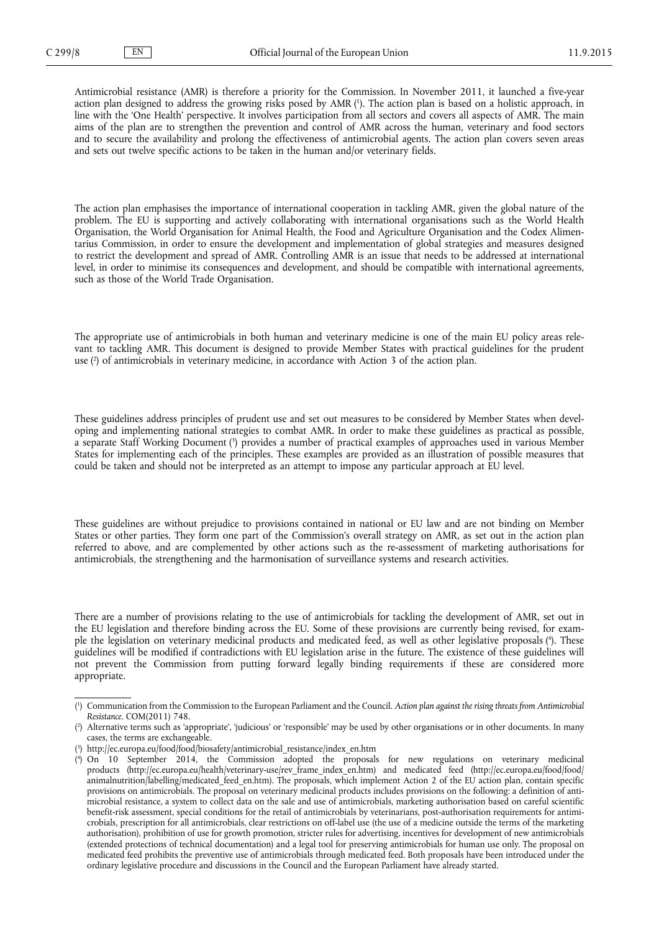Antimicrobial resistance (AMR) is therefore a priority for the Commission. In November 2011, it launched a five-year action plan designed to address the growing risks posed by AMR ( 1 ). The action plan is based on a holistic approach, in line with the 'One Health' perspective. It involves participation from all sectors and covers all aspects of AMR. The main aims of the plan are to strengthen the prevention and control of AMR across the human, veterinary and food sectors and to secure the availability and prolong the effectiveness of antimicrobial agents. The action plan covers seven areas and sets out twelve specific actions to be taken in the human and/or veterinary fields.

The action plan emphasises the importance of international cooperation in tackling AMR, given the global nature of the problem. The EU is supporting and actively collaborating with international organisations such as the World Health Organisation, the World Organisation for Animal Health, the Food and Agriculture Organisation and the Codex Alimentarius Commission, in order to ensure the development and implementation of global strategies and measures designed to restrict the development and spread of AMR. Controlling AMR is an issue that needs to be addressed at international level, in order to minimise its consequences and development, and should be compatible with international agreements, such as those of the World Trade Organisation.

The appropriate use of antimicrobials in both human and veterinary medicine is one of the main EU policy areas relevant to tackling AMR. This document is designed to provide Member States with practical guidelines for the prudent use ( 2 ) of antimicrobials in veterinary medicine, in accordance with Action 3 of the action plan.

These guidelines address principles of prudent use and set out measures to be considered by Member States when developing and implementing national strategies to combat AMR. In order to make these guidelines as practical as possible, a separate Staff Working Document ( 3 ) provides a number of practical examples of approaches used in various Member States for implementing each of the principles. These examples are provided as an illustration of possible measures that could be taken and should not be interpreted as an attempt to impose any particular approach at EU level.

These guidelines are without prejudice to provisions contained in national or EU law and are not binding on Member States or other parties. They form one part of the Commission's overall strategy on AMR, as set out in the action plan referred to above, and are complemented by other actions such as the re-assessment of marketing authorisations for antimicrobials, the strengthening and the harmonisation of surveillance systems and research activities.

There are a number of provisions relating to the use of antimicrobials for tackling the development of AMR, set out in the EU legislation and therefore binding across the EU. Some of these provisions are currently being revised, for example the legislation on veterinary medicinal products and medicated feed, as well as other legislative proposals (\*). These guidelines will be modified if contradictions with EU legislation arise in the future. The existence of these guidelines will not prevent the Commission from putting forward legally binding requirements if these are considered more appropriate.

<sup>(</sup> 1 ) Communication from the Commission to the European Parliament and the Council. *Action plan against the rising threats from Antimicrobial Resistance*. COM(2011) 748.

<sup>(</sup> 2 ) Alternative terms such as 'appropriate', 'judicious' or 'responsible' may be used by other organisations or in other documents. In many cases, the terms are exchangeable.

<sup>(</sup> 3 ) [http://ec.europa.eu/food/food/biosafety/antimicrobial\\_resistance/index\\_en.htm](http://ec.europa.eu/food/food/biosafety/antimicrobial_resistance/index_en.htm)

<sup>(</sup> 4 ) On 10 September 2014, the Commission adopted the proposals for new regulations on veterinary medicinal products ([http://ec.europa.eu/health/veterinary-use/rev\\_frame\\_index\\_en.htm\)](http://ec.europa.eu/health/veterinary-use/rev_frame_index_en.htm) and medicated feed ([http://ec.europa.eu/food/food/](http://ec.europa.eu/food/food/animalnutrition/labelling/medicated_feed_en.htm) [animalnutrition/labelling/medicated\\_feed\\_en.htm](http://ec.europa.eu/food/food/animalnutrition/labelling/medicated_feed_en.htm)). The proposals, which implement Action 2 of the EU action plan, contain specific provisions on antimicrobials. The proposal on veterinary medicinal products includes provisions on the following: a definition of antimicrobial resistance, a system to collect data on the sale and use of antimicrobials, marketing authorisation based on careful scientific benefit-risk assessment, special conditions for the retail of antimicrobials by veterinarians, post-authorisation requirements for antimicrobials, prescription for all antimicrobials, clear restrictions on off-label use (the use of a medicine outside the terms of the marketing authorisation), prohibition of use for growth promotion, stricter rules for advertising, incentives for development of new antimicrobials (extended protections of technical documentation) and a legal tool for preserving antimicrobials for human use only. The proposal on medicated feed prohibits the preventive use of antimicrobials through medicated feed. Both proposals have been introduced under the ordinary legislative procedure and discussions in the Council and the European Parliament have already started.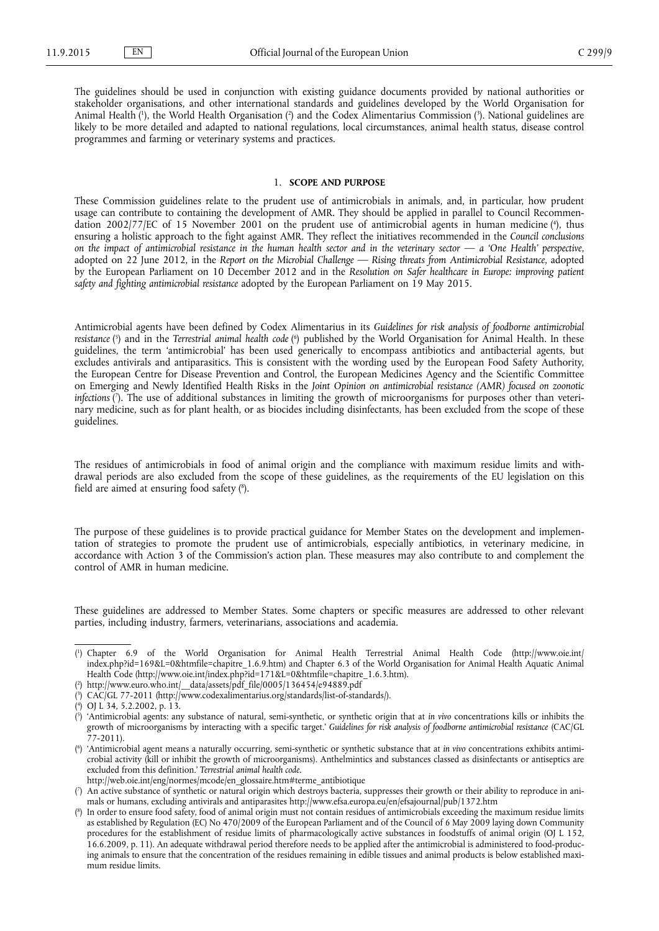<span id="page-2-0"></span>The guidelines should be used in conjunction with existing guidance documents provided by national authorities or stakeholder organisations, and other international standards and guidelines developed by the World Organisation for Animal Health (<sup>1</sup>), the World Health Organisation (<sup>2</sup>) and the Codex Alimentarius Commission (<sup>3</sup>). National guidelines are likely to be more detailed and adapted to national regulations, local circumstances, animal health status, disease control programmes and farming or veterinary systems and practices.

### 1. **SCOPE AND PURPOSE**

These Commission guidelines relate to the prudent use of antimicrobials in animals, and, in particular, how prudent usage can contribute to containing the development of AMR. They should be applied in parallel to Council Recommendation 2002/77/EC of 15 November 2001 on the prudent use of antimicrobial agents in human medicine (<sup>4</sup>), thus ensuring a holistic approach to the fight against AMR. They reflect the initiatives recommended in the *Council conclusions on the impact of antimicrobial resistance in the human health sector and in the veterinary sector — a 'One Health' perspective*, adopted on 22 June 2012, in the *Report on the Microbial Challenge — Rising threats from Antimicrobial Resistance*, adopted by the European Parliament on 10 December 2012 and in the *Resolution on Safer healthcare in Europe: improving patient safety and fighting antimicrobial resistance* adopted by the European Parliament on 19 May 2015.

Antimicrobial agents have been defined by Codex Alimentarius in its *Guidelines for risk analysis of foodborne antimicrobial resistance* ( 5 ) and in the *Terrestrial animal health code* ( 6 ) published by the World Organisation for Animal Health. In these guidelines, the term 'antimicrobial' has been used generically to encompass antibiotics and antibacterial agents, but excludes antivirals and antiparasitics. This is consistent with the wording used by the European Food Safety Authority, the European Centre for Disease Prevention and Control, the European Medicines Agency and the Scientific Committee on Emerging and Newly Identified Health Risks in the *Joint Opinion on antimicrobial resistance (AMR) focused on zoonotic infections* ( 7 ). The use of additional substances in limiting the growth of microorganisms for purposes other than veterinary medicine, such as for plant health, or as biocides including disinfectants, has been excluded from the scope of these guidelines.

The residues of antimicrobials in food of animal origin and the compliance with maximum residue limits and withdrawal periods are also excluded from the scope of these guidelines, as the requirements of the EU legislation on this field are aimed at ensuring food safety ( 8 ).

The purpose of these guidelines is to provide practical guidance for Member States on the development and implementation of strategies to promote the prudent use of antimicrobials, especially antibiotics, in veterinary medicine, in accordance with Action 3 of the Commission's action plan. These measures may also contribute to and complement the control of AMR in human medicine.

These guidelines are addressed to Member States. Some chapters or specific measures are addressed to other relevant parties, including industry, farmers, veterinarians, associations and academia.

( 1 ) Chapter 6.9 of the World Organisation for Animal Health Terrestrial Animal Health Code ([http://www.oie.int/](http://www.oie.int/index.php?id=169&L=0&htmfile=chapitre_1.6.9.htm) [index.php?id=169&L=0&htmfile=chapitre\\_1.6.9.htm](http://www.oie.int/index.php?id=169&L=0&htmfile=chapitre_1.6.9.htm)) and Chapter 6.3 of the World Organisation for Animal Health Aquatic Animal Health Code [\(http://www.oie.int/index.php?id=171&L=0&htmfile=chapitre\\_1.6.3.htm](http://www.oie.int/index.php?id=171&L=0&htmfile=chapitre_1.6.3.htm)).

( 2 ) [http://www.euro.who.int/\\_\\_data/assets/pdf\\_file/0005/136454/e94889.pdf](http://www.euro.who.int/__data/assets/pdf_file/0005/136454/e94889.pdf)

- ( 3 ) CAC/GL 77-2011 (<http://www.codexalimentarius.org/standards/list-of-standards/>).
- ( 4 ) OJ L 34, 5.2.2002, p. 13.
- ( 5 ) 'Antimicrobial agents: any substance of natural, semi-synthetic, or synthetic origin that at *in vivo* concentrations kills or inhibits the growth of microorganisms by interacting with a specific target.' *Guidelines for risk analysis of foodborne antimicrobial resistance* (CAC/GL 77-2011).
- ( 6 ) 'Antimicrobial agent means a naturally occurring, semi-synthetic or synthetic substance that at *in vivo* concentrations exhibits antimicrobial activity (kill or inhibit the growth of microorganisms). Anthelmintics and substances classed as disinfectants or antiseptics are excluded from this definition.' *Terrestrial animal health code*.
- [http://web.oie.int/eng/normes/mcode/en\\_glossaire.htm#terme\\_antibiotique](http://web.oie.int/eng/normes/mcode/en_glossaire.htm#terme_antibiotique)
- ( 7 ) An active substance of synthetic or natural origin which destroys bacteria, suppresses their growth or their ability to reproduce in animals or humans, excluding antivirals and antiparasites <http://www.efsa.europa.eu/en/efsajournal/pub/1372.htm>
- ( 8 ) In order to ensure food safety, food of animal origin must not contain residues of antimicrobials exceeding the maximum residue limits as established by Regulation (EC) No 470/2009 of the European Parliament and of the Council of 6 May 2009 laying down Community procedures for the establishment of residue limits of pharmacologically active substances in foodstuffs of animal origin (OJ L 152, 16.6.2009, p. 11). An adequate withdrawal period therefore needs to be applied after the antimicrobial is administered to food-producing animals to ensure that the concentration of the residues remaining in edible tissues and animal products is below established maximum residue limits.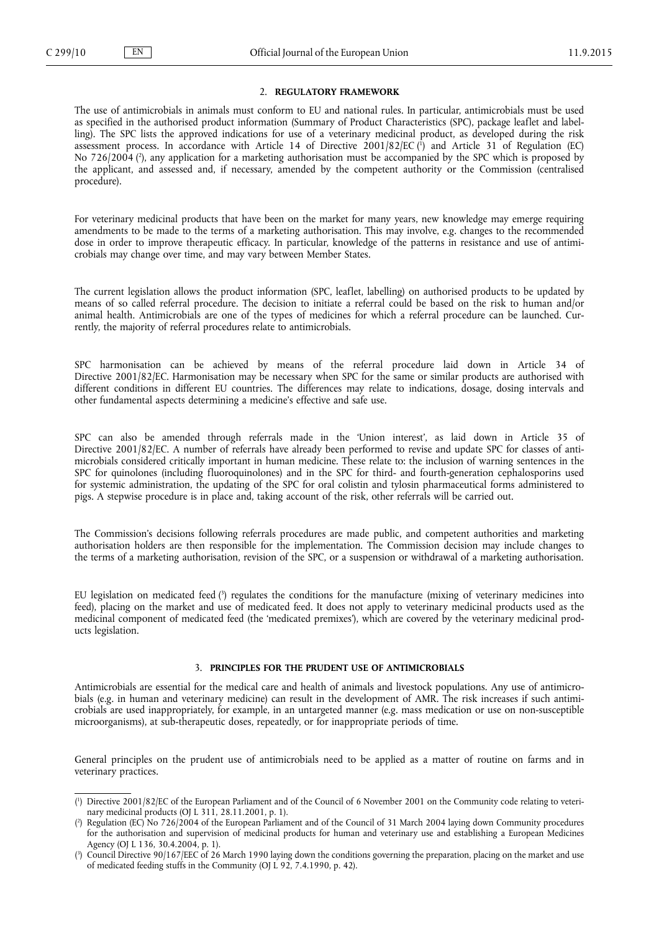# 2. **REGULATORY FRAMEWORK**

<span id="page-3-0"></span>The use of antimicrobials in animals must conform to EU and national rules. In particular, antimicrobials must be used as specified in the authorised product information (Summary of Product Characteristics (SPC), package leaflet and labelling). The SPC lists the approved indications for use of a veterinary medicinal product, as developed during the risk assessment process. In accordance with Article 14 of Directive 2001/82/EC ( 1 ) and Article 31 of Regulation (EC) No 726/2004 ( 2 ), any application for a marketing authorisation must be accompanied by the SPC which is proposed by the applicant, and assessed and, if necessary, amended by the competent authority or the Commission (centralised procedure).

For veterinary medicinal products that have been on the market for many years, new knowledge may emerge requiring amendments to be made to the terms of a marketing authorisation. This may involve, e.g. changes to the recommended dose in order to improve therapeutic efficacy. In particular, knowledge of the patterns in resistance and use of antimicrobials may change over time, and may vary between Member States.

The current legislation allows the product information (SPC, leaflet, labelling) on authorised products to be updated by means of so called referral procedure. The decision to initiate a referral could be based on the risk to human and/or animal health. Antimicrobials are one of the types of medicines for which a referral procedure can be launched. Currently, the majority of referral procedures relate to antimicrobials.

SPC harmonisation can be achieved by means of the referral procedure laid down in Article 34 of Directive 2001/82/EC. Harmonisation may be necessary when SPC for the same or similar products are authorised with different conditions in different EU countries. The differences may relate to indications, dosage, dosing intervals and other fundamental aspects determining a medicine's effective and safe use.

SPC can also be amended through referrals made in the 'Union interest', as laid down in Article 35 of Directive 2001/82/EC. A number of referrals have already been performed to revise and update SPC for classes of antimicrobials considered critically important in human medicine. These relate to: the inclusion of warning sentences in the SPC for quinolones (including fluoroquinolones) and in the SPC for third- and fourth-generation cephalosporins used for systemic administration, the updating of the SPC for oral colistin and tylosin pharmaceutical forms administered to pigs. A stepwise procedure is in place and, taking account of the risk, other referrals will be carried out.

The Commission's decisions following referrals procedures are made public, and competent authorities and marketing authorisation holders are then responsible for the implementation. The Commission decision may include changes to the terms of a marketing authorisation, revision of the SPC, or a suspension or withdrawal of a marketing authorisation.

EU legislation on medicated feed (<sup>3</sup>) regulates the conditions for the manufacture (mixing of veterinary medicines into feed), placing on the market and use of medicated feed. It does not apply to veterinary medicinal products used as the medicinal component of medicated feed (the 'medicated premixes'), which are covered by the veterinary medicinal products legislation.

### 3. **PRINCIPLES FOR THE PRUDENT USE OF ANTIMICROBIALS**

Antimicrobials are essential for the medical care and health of animals and livestock populations. Any use of antimicrobials (e.g. in human and veterinary medicine) can result in the development of AMR. The risk increases if such antimicrobials are used inappropriately, for example, in an untargeted manner (e.g. mass medication or use on non-susceptible microorganisms), at sub-therapeutic doses, repeatedly, or for inappropriate periods of time.

General principles on the prudent use of antimicrobials need to be applied as a matter of routine on farms and in veterinary practices.

<sup>(</sup> 1 ) Directive 2001/82/EC of the European Parliament and of the Council of 6 November 2001 on the Community code relating to veterinary medicinal products (OJ L 311, 28.11.2001, p. 1).

<sup>(</sup> 2 ) Regulation (EC) No 726/2004 of the European Parliament and of the Council of 31 March 2004 laying down Community procedures for the authorisation and supervision of medicinal products for human and veterinary use and establishing a European Medicines Agency (OJ L 136, 30.4.2004, p. 1).

<sup>(</sup> 3 ) Council Directive 90/167/EEC of 26 March 1990 laying down the conditions governing the preparation, placing on the market and use of medicated feeding stuffs in the Community (OJ L 92, 7.4.1990, p. 42).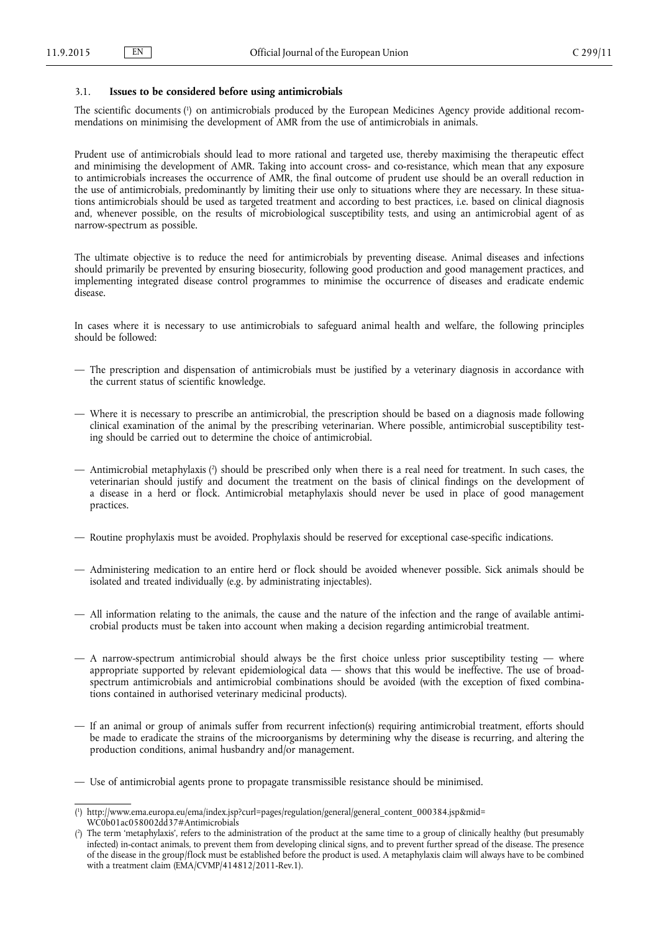# <span id="page-4-0"></span>3.1. **Issues to be considered before using antimicrobials**

The scientific documents ( 1 ) on antimicrobials produced by the European Medicines Agency provide additional recommendations on minimising the development of AMR from the use of antimicrobials in animals.

Prudent use of antimicrobials should lead to more rational and targeted use, thereby maximising the therapeutic effect and minimising the development of AMR. Taking into account cross- and co-resistance, which mean that any exposure to antimicrobials increases the occurrence of AMR, the final outcome of prudent use should be an overall reduction in the use of antimicrobials, predominantly by limiting their use only to situations where they are necessary. In these situations antimicrobials should be used as targeted treatment and according to best practices, i.e. based on clinical diagnosis and, whenever possible, on the results of microbiological susceptibility tests, and using an antimicrobial agent of as narrow-spectrum as possible.

The ultimate objective is to reduce the need for antimicrobials by preventing disease. Animal diseases and infections should primarily be prevented by ensuring biosecurity, following good production and good management practices, and implementing integrated disease control programmes to minimise the occurrence of diseases and eradicate endemic disease.

In cases where it is necessary to use antimicrobials to safeguard animal health and welfare, the following principles should be followed:

- The prescription and dispensation of antimicrobials must be justified by a veterinary diagnosis in accordance with the current status of scientific knowledge.
- Where it is necessary to prescribe an antimicrobial, the prescription should be based on a diagnosis made following clinical examination of the animal by the prescribing veterinarian. Where possible, antimicrobial susceptibility testing should be carried out to determine the choice of antimicrobial.
- Antimicrobial metaphylaxis ( 2 ) should be prescribed only when there is a real need for treatment. In such cases, the veterinarian should justify and document the treatment on the basis of clinical findings on the development of a disease in a herd or flock. Antimicrobial metaphylaxis should never be used in place of good management practices.
- Routine prophylaxis must be avoided. Prophylaxis should be reserved for exceptional case-specific indications.
- Administering medication to an entire herd or flock should be avoided whenever possible. Sick animals should be isolated and treated individually (e.g. by administrating injectables).
- All information relating to the animals, the cause and the nature of the infection and the range of available antimicrobial products must be taken into account when making a decision regarding antimicrobial treatment.
- $-$  A narrow-spectrum antimicrobial should always be the first choice unless prior susceptibility testing  $-$  where appropriate supported by relevant epidemiological data — shows that this would be ineffective. The use of broadspectrum antimicrobials and antimicrobial combinations should be avoided (with the exception of fixed combinations contained in authorised veterinary medicinal products).
- If an animal or group of animals suffer from recurrent infection(s) requiring antimicrobial treatment, efforts should be made to eradicate the strains of the microorganisms by determining why the disease is recurring, and altering the production conditions, animal husbandry and/or management.

<sup>—</sup> Use of antimicrobial agents prone to propagate transmissible resistance should be minimised.

<sup>(</sup> 1 ) [http://www.ema.europa.eu/ema/index.jsp?curl=pages/regulation/general/general\\_content\\_000384.jsp&mid=](http://www.ema.europa.eu/ema/index.jsp?curl=pages/regulation/general/general_content_000384.jsp&mid=WC0b01ac058002dd37#Antimicrobials) [WC0b01ac058002dd37#Antimicrobials](http://www.ema.europa.eu/ema/index.jsp?curl=pages/regulation/general/general_content_000384.jsp&mid=WC0b01ac058002dd37#Antimicrobials)

<sup>(</sup> 2 ) The term 'metaphylaxis', refers to the administration of the product at the same time to a group of clinically healthy (but presumably infected) in-contact animals, to prevent them from developing clinical signs, and to prevent further spread of the disease. The presence of the disease in the group/flock must be established before the product is used. A metaphylaxis claim will always have to be combined with a treatment claim (EMA/CVMP/414812/2011-Rev.1).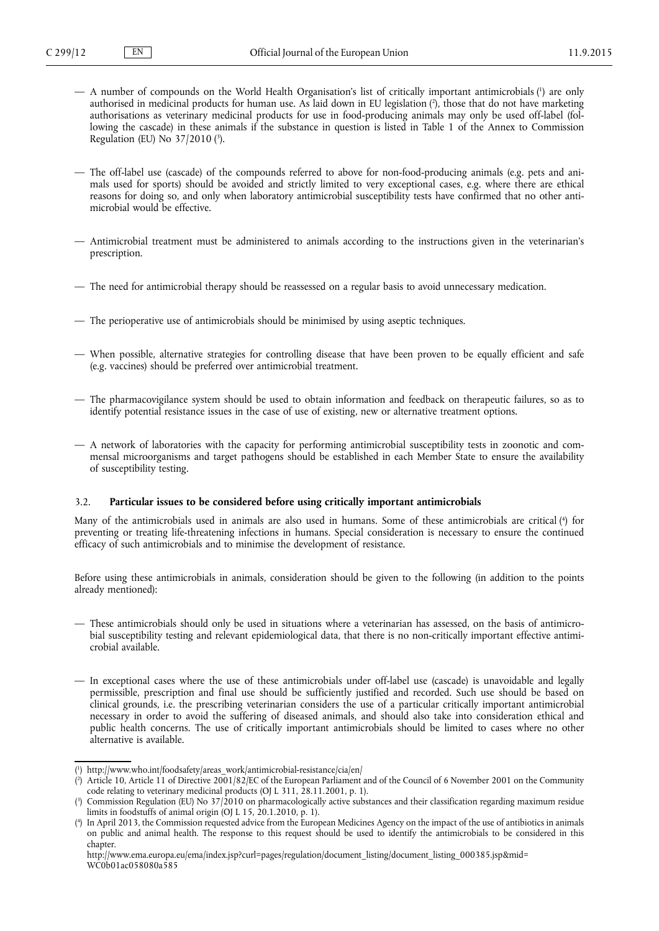- <span id="page-5-0"></span>— A number of compounds on the World Health Organisation's list of critically important antimicrobials ( 1 ) are only authorised in medicinal products for human use. As laid down in EU legislation ( 2 ), those that do not have marketing authorisations as veterinary medicinal products for use in food-producing animals may only be used off-label (following the cascade) in these animals if the substance in question is listed in Table 1 of the Annex to Commission Regulation (EU) No 37/2010 ( 3 ).
- The off-label use (cascade) of the compounds referred to above for non-food-producing animals (e.g. pets and animals used for sports) should be avoided and strictly limited to very exceptional cases, e.g. where there are ethical reasons for doing so, and only when laboratory antimicrobial susceptibility tests have confirmed that no other antimicrobial would be effective.
- Antimicrobial treatment must be administered to animals according to the instructions given in the veterinarian's prescription.
- The need for antimicrobial therapy should be reassessed on a regular basis to avoid unnecessary medication.
- The perioperative use of antimicrobials should be minimised by using aseptic techniques.
- When possible, alternative strategies for controlling disease that have been proven to be equally efficient and safe (e.g. vaccines) should be preferred over antimicrobial treatment.
- The pharmacovigilance system should be used to obtain information and feedback on therapeutic failures, so as to identify potential resistance issues in the case of use of existing, new or alternative treatment options.
- A network of laboratories with the capacity for performing antimicrobial susceptibility tests in zoonotic and commensal microorganisms and target pathogens should be established in each Member State to ensure the availability of susceptibility testing.

### 3.2. **Particular issues to be considered before using critically important antimicrobials**

Many of the antimicrobials used in animals are also used in humans. Some of these antimicrobials are critical ( 4 ) for preventing or treating life-threatening infections in humans. Special consideration is necessary to ensure the continued efficacy of such antimicrobials and to minimise the development of resistance.

Before using these antimicrobials in animals, consideration should be given to the following (in addition to the points already mentioned):

- These antimicrobials should only be used in situations where a veterinarian has assessed, on the basis of antimicrobial susceptibility testing and relevant epidemiological data, that there is no non-critically important effective antimicrobial available.
- In exceptional cases where the use of these antimicrobials under off-label use (cascade) is unavoidable and legally permissible, prescription and final use should be sufficiently justified and recorded. Such use should be based on clinical grounds, i.e. the prescribing veterinarian considers the use of a particular critically important antimicrobial necessary in order to avoid the suffering of diseased animals, and should also take into consideration ethical and public health concerns. The use of critically important antimicrobials should be limited to cases where no other alternative is available.

<sup>(</sup> 1 ) [http://www.who.int/foodsafety/areas\\_work/antimicrobial-resistance/cia/en/](http://www.who.int/foodsafety/areas_work/antimicrobial-resistance/cia/en/)

<sup>(</sup> 2 ) Article 10, Article 11 of Directive 2001/82/EC of the European Parliament and of the Council of 6 November 2001 on the Community code relating to veterinary medicinal products (OJ L 311, 28.11.2001, p. 1).

<sup>(</sup> 3 ) Commission Regulation (EU) No 37/2010 on pharmacologically active substances and their classification regarding maximum residue limits in foodstuffs of animal origin (OJ L 15, 20.1.2010, p. 1).

<sup>(</sup> 4 ) In April 2013, the Commission requested advice from the European Medicines Agency on the impact of the use of antibiotics in animals on public and animal health. The response to this request should be used to identify the antimicrobials to be considered in this chapter.

[http://www.ema.europa.eu/ema/index.jsp?curl=pages/regulation/document\\_listing/document\\_listing\\_000385.jsp&mid=](http://www.ema.europa.eu/ema/index.jsp?curl=pages/regulation/document_listing/document_listing_000385.jsp&mid=WC0b01ac058080a585) [WC0b01ac058080a585](http://www.ema.europa.eu/ema/index.jsp?curl=pages/regulation/document_listing/document_listing_000385.jsp&mid=WC0b01ac058080a585)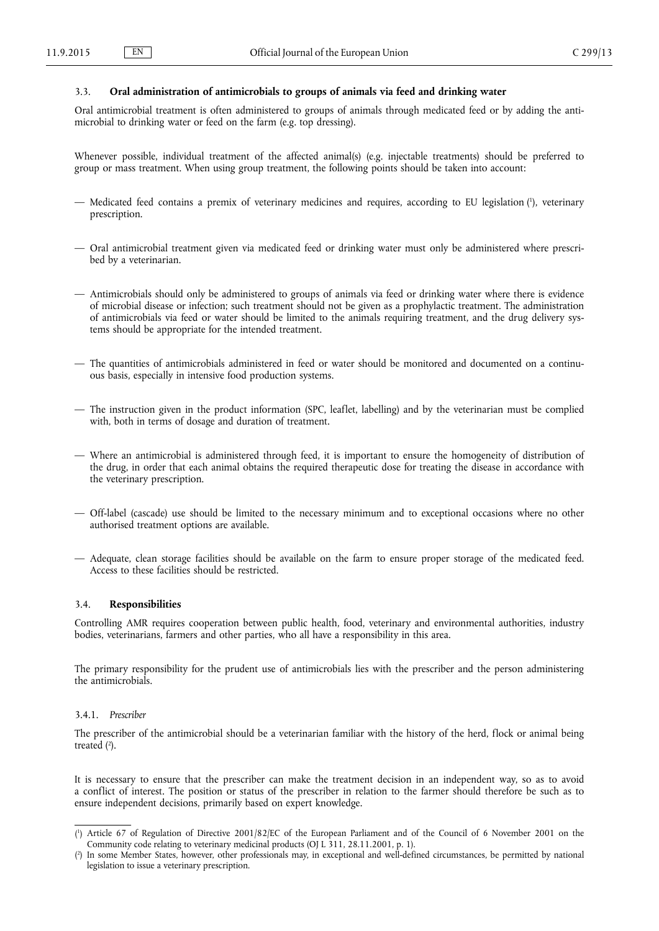# <span id="page-6-0"></span>3.3. **Oral administration of antimicrobials to groups of animals via feed and drinking water**

Oral antimicrobial treatment is often administered to groups of animals through medicated feed or by adding the antimicrobial to drinking water or feed on the farm (e.g. top dressing).

Whenever possible, individual treatment of the affected animal(s) (e.g. injectable treatments) should be preferred to group or mass treatment. When using group treatment, the following points should be taken into account:

- Medicated feed contains a premix of veterinary medicines and requires, according to EU legislation ( 1 ), veterinary prescription.
- Oral antimicrobial treatment given via medicated feed or drinking water must only be administered where prescribed by a veterinarian.
- Antimicrobials should only be administered to groups of animals via feed or drinking water where there is evidence of microbial disease or infection; such treatment should not be given as a prophylactic treatment. The administration of antimicrobials via feed or water should be limited to the animals requiring treatment, and the drug delivery systems should be appropriate for the intended treatment.
- The quantities of antimicrobials administered in feed or water should be monitored and documented on a continuous basis, especially in intensive food production systems.
- The instruction given in the product information (SPC, leaflet, labelling) and by the veterinarian must be complied with, both in terms of dosage and duration of treatment.
- Where an antimicrobial is administered through feed, it is important to ensure the homogeneity of distribution of the drug, in order that each animal obtains the required therapeutic dose for treating the disease in accordance with the veterinary prescription.
- Off-label (cascade) use should be limited to the necessary minimum and to exceptional occasions where no other authorised treatment options are available.
- Adequate, clean storage facilities should be available on the farm to ensure proper storage of the medicated feed. Access to these facilities should be restricted.

## 3.4. **Responsibilities**

Controlling AMR requires cooperation between public health, food, veterinary and environmental authorities, industry bodies, veterinarians, farmers and other parties, who all have a responsibility in this area.

The primary responsibility for the prudent use of antimicrobials lies with the prescriber and the person administering the antimicrobials.

## 3.4.1. *Prescriber*

The prescriber of the antimicrobial should be a veterinarian familiar with the history of the herd, flock or animal being treated (<sup>2</sup>).

It is necessary to ensure that the prescriber can make the treatment decision in an independent way, so as to avoid a conflict of interest. The position or status of the prescriber in relation to the farmer should therefore be such as to ensure independent decisions, primarily based on expert knowledge.

<sup>(</sup> 1 ) Article 67 of Regulation of Directive 2001/82/EC of the European Parliament and of the Council of 6 November 2001 on the Community code relating to veterinary medicinal products (OJ L 311, 28.11.2001, p. 1).

<sup>(</sup> 2 ) In some Member States, however, other professionals may, in exceptional and well-defined circumstances, be permitted by national legislation to issue a veterinary prescription.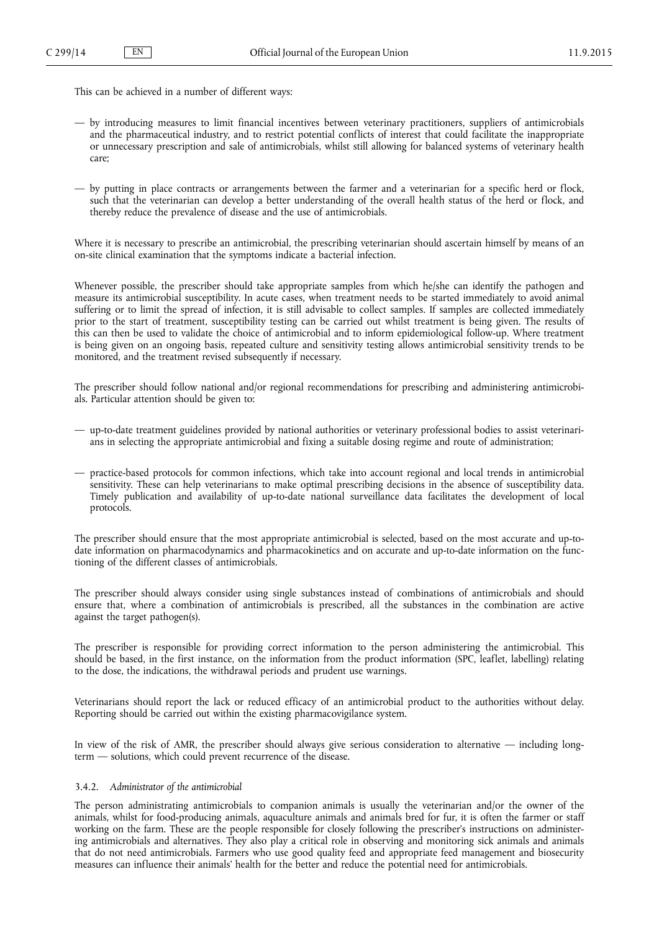<span id="page-7-0"></span>This can be achieved in a number of different ways:

- by introducing measures to limit financial incentives between veterinary practitioners, suppliers of antimicrobials and the pharmaceutical industry, and to restrict potential conflicts of interest that could facilitate the inappropriate or unnecessary prescription and sale of antimicrobials, whilst still allowing for balanced systems of veterinary health care;
- by putting in place contracts or arrangements between the farmer and a veterinarian for a specific herd or flock, such that the veterinarian can develop a better understanding of the overall health status of the herd or flock, and thereby reduce the prevalence of disease and the use of antimicrobials.

Where it is necessary to prescribe an antimicrobial, the prescribing veterinarian should ascertain himself by means of an on-site clinical examination that the symptoms indicate a bacterial infection.

Whenever possible, the prescriber should take appropriate samples from which he/she can identify the pathogen and measure its antimicrobial susceptibility. In acute cases, when treatment needs to be started immediately to avoid animal suffering or to limit the spread of infection, it is still advisable to collect samples. If samples are collected immediately prior to the start of treatment, susceptibility testing can be carried out whilst treatment is being given. The results of this can then be used to validate the choice of antimicrobial and to inform epidemiological follow-up. Where treatment is being given on an ongoing basis, repeated culture and sensitivity testing allows antimicrobial sensitivity trends to be monitored, and the treatment revised subsequently if necessary.

The prescriber should follow national and/or regional recommendations for prescribing and administering antimicrobials. Particular attention should be given to:

- up-to-date treatment guidelines provided by national authorities or veterinary professional bodies to assist veterinarians in selecting the appropriate antimicrobial and fixing a suitable dosing regime and route of administration;
- practice-based protocols for common infections, which take into account regional and local trends in antimicrobial sensitivity. These can help veterinarians to make optimal prescribing decisions in the absence of susceptibility data. Timely publication and availability of up-to-date national surveillance data facilitates the development of local protocols.

The prescriber should ensure that the most appropriate antimicrobial is selected, based on the most accurate and up-todate information on pharmacodynamics and pharmacokinetics and on accurate and up-to-date information on the functioning of the different classes of antimicrobials.

The prescriber should always consider using single substances instead of combinations of antimicrobials and should ensure that, where a combination of antimicrobials is prescribed, all the substances in the combination are active against the target pathogen(s).

The prescriber is responsible for providing correct information to the person administering the antimicrobial. This should be based, in the first instance, on the information from the product information (SPC, leaflet, labelling) relating to the dose, the indications, the withdrawal periods and prudent use warnings.

Veterinarians should report the lack or reduced efficacy of an antimicrobial product to the authorities without delay. Reporting should be carried out within the existing pharmacovigilance system.

In view of the risk of AMR, the prescriber should always give serious consideration to alternative — including longterm — solutions, which could prevent recurrence of the disease.

## 3.4.2. *Administrator of the antimicrobial*

The person administrating antimicrobials to companion animals is usually the veterinarian and/or the owner of the animals, whilst for food-producing animals, aquaculture animals and animals bred for fur, it is often the farmer or staff working on the farm. These are the people responsible for closely following the prescriber's instructions on administering antimicrobials and alternatives. They also play a critical role in observing and monitoring sick animals and animals that do not need antimicrobials. Farmers who use good quality feed and appropriate feed management and biosecurity measures can influence their animals' health for the better and reduce the potential need for antimicrobials.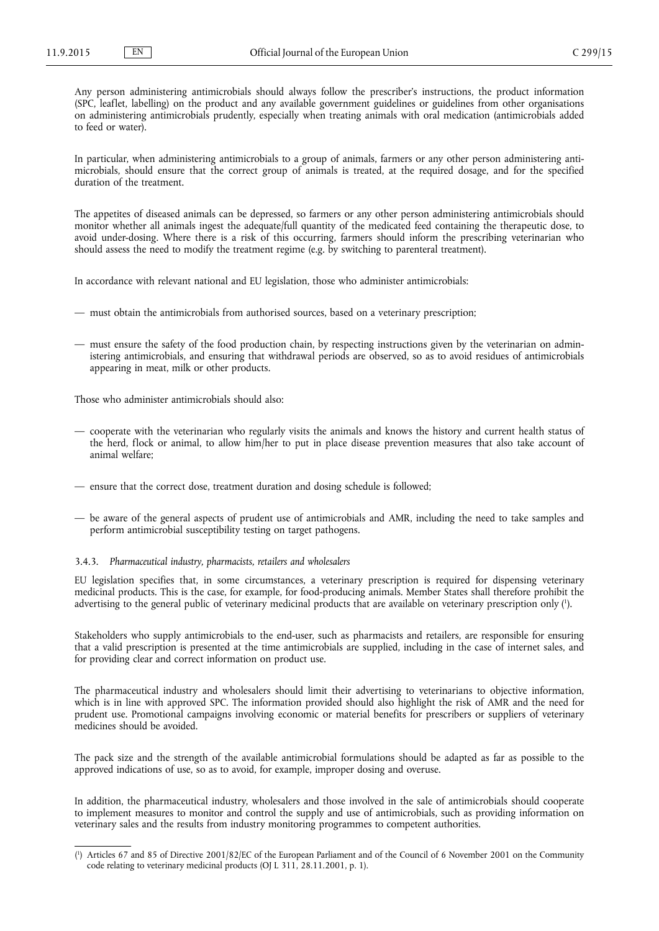<span id="page-8-0"></span>Any person administering antimicrobials should always follow the prescriber's instructions, the product information (SPC, leaflet, labelling) on the product and any available government guidelines or guidelines from other organisations on administering antimicrobials prudently, especially when treating animals with oral medication (antimicrobials added to feed or water).

In particular, when administering antimicrobials to a group of animals, farmers or any other person administering antimicrobials, should ensure that the correct group of animals is treated, at the required dosage, and for the specified duration of the treatment.

The appetites of diseased animals can be depressed, so farmers or any other person administering antimicrobials should monitor whether all animals ingest the adequate/full quantity of the medicated feed containing the therapeutic dose, to avoid under-dosing. Where there is a risk of this occurring, farmers should inform the prescribing veterinarian who should assess the need to modify the treatment regime (e.g. by switching to parenteral treatment).

In accordance with relevant national and EU legislation, those who administer antimicrobials:

- must obtain the antimicrobials from authorised sources, based on a veterinary prescription;
- must ensure the safety of the food production chain, by respecting instructions given by the veterinarian on administering antimicrobials, and ensuring that withdrawal periods are observed, so as to avoid residues of antimicrobials appearing in meat, milk or other products.

Those who administer antimicrobials should also:

- cooperate with the veterinarian who regularly visits the animals and knows the history and current health status of the herd, flock or animal, to allow him/her to put in place disease prevention measures that also take account of animal welfare;
- ensure that the correct dose, treatment duration and dosing schedule is followed;
- be aware of the general aspects of prudent use of antimicrobials and AMR, including the need to take samples and perform antimicrobial susceptibility testing on target pathogens.

# 3.4.3. *Pharmaceutical industry, pharmacists, retailers and wholesalers*

EU legislation specifies that, in some circumstances, a veterinary prescription is required for dispensing veterinary medicinal products. This is the case, for example, for food-producing animals. Member States shall therefore prohibit the advertising to the general public of veterinary medicinal products that are available on veterinary prescription only ( 1 ).

Stakeholders who supply antimicrobials to the end-user, such as pharmacists and retailers, are responsible for ensuring that a valid prescription is presented at the time antimicrobials are supplied, including in the case of internet sales, and for providing clear and correct information on product use.

The pharmaceutical industry and wholesalers should limit their advertising to veterinarians to objective information, which is in line with approved SPC. The information provided should also highlight the risk of AMR and the need for prudent use. Promotional campaigns involving economic or material benefits for prescribers or suppliers of veterinary medicines should be avoided.

The pack size and the strength of the available antimicrobial formulations should be adapted as far as possible to the approved indications of use, so as to avoid, for example, improper dosing and overuse.

In addition, the pharmaceutical industry, wholesalers and those involved in the sale of antimicrobials should cooperate to implement measures to monitor and control the supply and use of antimicrobials, such as providing information on veterinary sales and the results from industry monitoring programmes to competent authorities.

<sup>(</sup> 1 ) Articles 67 and 85 of Directive 2001/82/EC of the European Parliament and of the Council of 6 November 2001 on the Community code relating to veterinary medicinal products (OJ L 311, 28.11.2001, p. 1).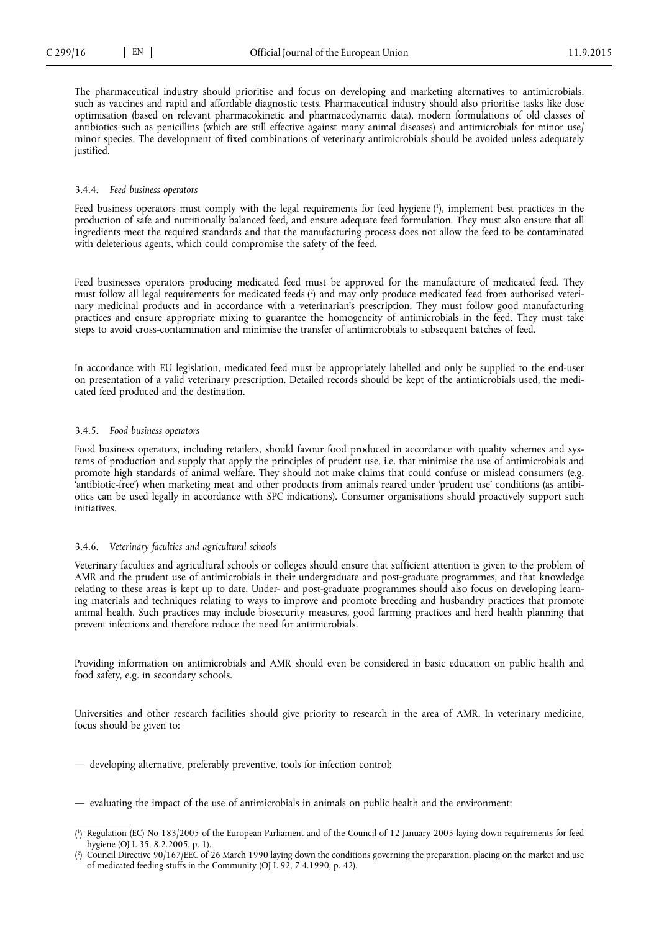<span id="page-9-0"></span>The pharmaceutical industry should prioritise and focus on developing and marketing alternatives to antimicrobials, such as vaccines and rapid and affordable diagnostic tests. Pharmaceutical industry should also prioritise tasks like dose optimisation (based on relevant pharmacokinetic and pharmacodynamic data), modern formulations of old classes of antibiotics such as penicillins (which are still effective against many animal diseases) and antimicrobials for minor use/ minor species. The development of fixed combinations of veterinary antimicrobials should be avoided unless adequately justified.

### 3.4.4. *Feed business operators*

Feed business operators must comply with the legal requirements for feed hygiene ( 1 ), implement best practices in the production of safe and nutritionally balanced feed, and ensure adequate feed formulation. They must also ensure that all ingredients meet the required standards and that the manufacturing process does not allow the feed to be contaminated with deleterious agents, which could compromise the safety of the feed.

Feed businesses operators producing medicated feed must be approved for the manufacture of medicated feed. They must follow all legal requirements for medicated feeds ( 2 ) and may only produce medicated feed from authorised veterinary medicinal products and in accordance with a veterinarian's prescription. They must follow good manufacturing practices and ensure appropriate mixing to guarantee the homogeneity of antimicrobials in the feed. They must take steps to avoid cross-contamination and minimise the transfer of antimicrobials to subsequent batches of feed.

In accordance with EU legislation, medicated feed must be appropriately labelled and only be supplied to the end-user on presentation of a valid veterinary prescription. Detailed records should be kept of the antimicrobials used, the medicated feed produced and the destination.

### 3.4.5. *Food business operators*

Food business operators, including retailers, should favour food produced in accordance with quality schemes and systems of production and supply that apply the principles of prudent use, i.e. that minimise the use of antimicrobials and promote high standards of animal welfare. They should not make claims that could confuse or mislead consumers (e.g. 'antibiotic-free') when marketing meat and other products from animals reared under 'prudent use' conditions (as antibiotics can be used legally in accordance with SPC indications). Consumer organisations should proactively support such initiatives.

### 3.4.6. *Veterinary faculties and agricultural schools*

Veterinary faculties and agricultural schools or colleges should ensure that sufficient attention is given to the problem of AMR and the prudent use of antimicrobials in their undergraduate and post-graduate programmes, and that knowledge relating to these areas is kept up to date. Under- and post-graduate programmes should also focus on developing learning materials and techniques relating to ways to improve and promote breeding and husbandry practices that promote animal health. Such practices may include biosecurity measures, good farming practices and herd health planning that prevent infections and therefore reduce the need for antimicrobials.

Providing information on antimicrobials and AMR should even be considered in basic education on public health and food safety, e.g. in secondary schools.

Universities and other research facilities should give priority to research in the area of AMR. In veterinary medicine, focus should be given to:

- developing alternative, preferably preventive, tools for infection control;
- evaluating the impact of the use of antimicrobials in animals on public health and the environment;

<sup>(</sup> 1 ) Regulation (EC) No 183/2005 of the European Parliament and of the Council of 12 January 2005 laying down requirements for feed hygiene (OJ L 35, 8.2.2005, p. 1).

<sup>(</sup> 2 ) Council Directive 90/167/EEC of 26 March 1990 laying down the conditions governing the preparation, placing on the market and use of medicated feeding stuffs in the Community (OJ L 92, 7.4.1990, p. 42).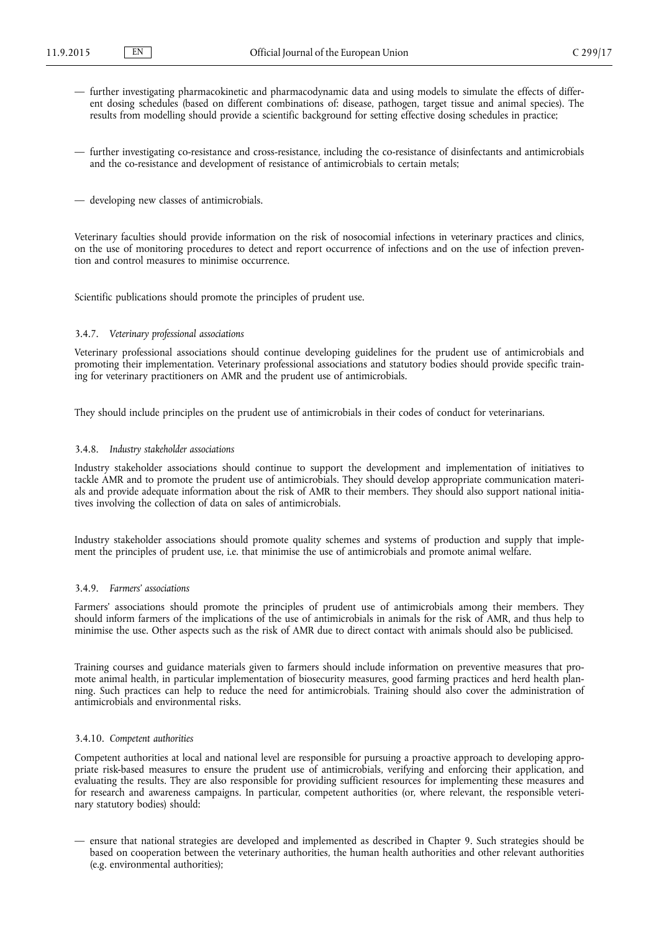- <span id="page-10-0"></span>— further investigating pharmacokinetic and pharmacodynamic data and using models to simulate the effects of different dosing schedules (based on different combinations of: disease, pathogen, target tissue and animal species). The results from modelling should provide a scientific background for setting effective dosing schedules in practice;
- further investigating co-resistance and cross-resistance, including the co-resistance of disinfectants and antimicrobials and the co-resistance and development of resistance of antimicrobials to certain metals;
- developing new classes of antimicrobials.

Veterinary faculties should provide information on the risk of nosocomial infections in veterinary practices and clinics, on the use of monitoring procedures to detect and report occurrence of infections and on the use of infection prevention and control measures to minimise occurrence.

Scientific publications should promote the principles of prudent use.

### 3.4.7. *Veterinary professional associations*

Veterinary professional associations should continue developing guidelines for the prudent use of antimicrobials and promoting their implementation. Veterinary professional associations and statutory bodies should provide specific training for veterinary practitioners on AMR and the prudent use of antimicrobials.

They should include principles on the prudent use of antimicrobials in their codes of conduct for veterinarians.

#### 3.4.8. *Industry stakeholder associations*

Industry stakeholder associations should continue to support the development and implementation of initiatives to tackle AMR and to promote the prudent use of antimicrobials. They should develop appropriate communication materials and provide adequate information about the risk of AMR to their members. They should also support national initiatives involving the collection of data on sales of antimicrobials.

Industry stakeholder associations should promote quality schemes and systems of production and supply that implement the principles of prudent use, i.e. that minimise the use of antimicrobials and promote animal welfare.

# 3.4.9. *Farmers' associations*

Farmers' associations should promote the principles of prudent use of antimicrobials among their members. They should inform farmers of the implications of the use of antimicrobials in animals for the risk of AMR, and thus help to minimise the use. Other aspects such as the risk of AMR due to direct contact with animals should also be publicised.

Training courses and guidance materials given to farmers should include information on preventive measures that promote animal health, in particular implementation of biosecurity measures, good farming practices and herd health planning. Such practices can help to reduce the need for antimicrobials. Training should also cover the administration of antimicrobials and environmental risks.

## 3.4.10. *Competent authorities*

Competent authorities at local and national level are responsible for pursuing a proactive approach to developing appropriate risk-based measures to ensure the prudent use of antimicrobials, verifying and enforcing their application, and evaluating the results. They are also responsible for providing sufficient resources for implementing these measures and for research and awareness campaigns. In particular, competent authorities (or, where relevant, the responsible veterinary statutory bodies) should:

— ensure that national strategies are developed and implemented as described in Chapter 9. Such strategies should be based on cooperation between the veterinary authorities, the human health authorities and other relevant authorities (e.g. environmental authorities);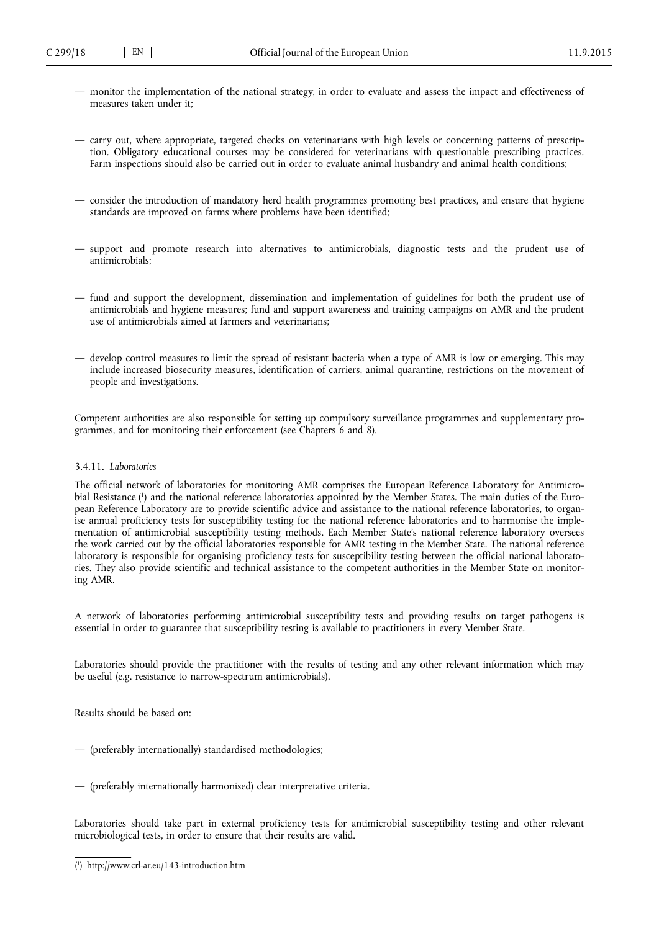- <span id="page-11-0"></span>— monitor the implementation of the national strategy, in order to evaluate and assess the impact and effectiveness of measures taken under it;
- carry out, where appropriate, targeted checks on veterinarians with high levels or concerning patterns of prescription. Obligatory educational courses may be considered for veterinarians with questionable prescribing practices. Farm inspections should also be carried out in order to evaluate animal husbandry and animal health conditions;
- consider the introduction of mandatory herd health programmes promoting best practices, and ensure that hygiene standards are improved on farms where problems have been identified;
- support and promote research into alternatives to antimicrobials, diagnostic tests and the prudent use of antimicrobials;
- fund and support the development, dissemination and implementation of guidelines for both the prudent use of antimicrobials and hygiene measures; fund and support awareness and training campaigns on AMR and the prudent use of antimicrobials aimed at farmers and veterinarians;
- develop control measures to limit the spread of resistant bacteria when a type of AMR is low or emerging. This may include increased biosecurity measures, identification of carriers, animal quarantine, restrictions on the movement of people and investigations.

Competent authorities are also responsible for setting up compulsory surveillance programmes and supplementary programmes, and for monitoring their enforcement (see Chapters 6 and 8).

# 3.4.11. *Laboratories*

The official network of laboratories for monitoring AMR comprises the European Reference Laboratory for Antimicrobial Resistance ( 1 ) and the national reference laboratories appointed by the Member States. The main duties of the European Reference Laboratory are to provide scientific advice and assistance to the national reference laboratories, to organise annual proficiency tests for susceptibility testing for the national reference laboratories and to harmonise the implementation of antimicrobial susceptibility testing methods. Each Member State's national reference laboratory oversees the work carried out by the official laboratories responsible for AMR testing in the Member State. The national reference laboratory is responsible for organising proficiency tests for susceptibility testing between the official national laboratories. They also provide scientific and technical assistance to the competent authorities in the Member State on monitoring AMR.

A network of laboratories performing antimicrobial susceptibility tests and providing results on target pathogens is essential in order to guarantee that susceptibility testing is available to practitioners in every Member State.

Laboratories should provide the practitioner with the results of testing and any other relevant information which may be useful (e.g. resistance to narrow-spectrum antimicrobials).

Results should be based on:

- (preferably internationally) standardised methodologies;
- (preferably internationally harmonised) clear interpretative criteria.

Laboratories should take part in external proficiency tests for antimicrobial susceptibility testing and other relevant microbiological tests, in order to ensure that their results are valid.

<sup>(</sup> 1 ) <http://www.crl-ar.eu/143-introduction.htm>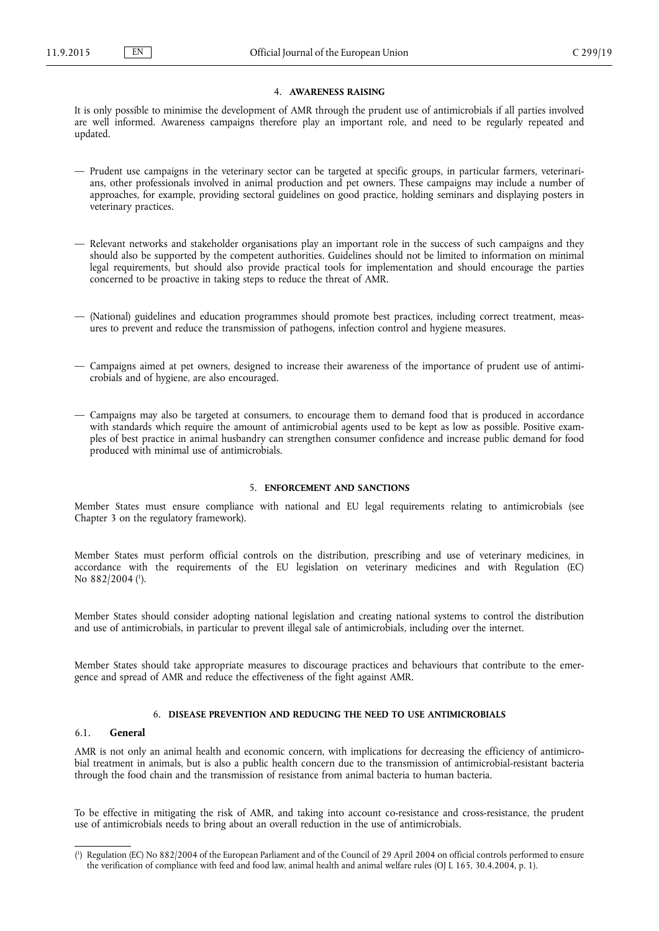## 4. **AWARENESS RAISING**

<span id="page-12-0"></span>It is only possible to minimise the development of AMR through the prudent use of antimicrobials if all parties involved are well informed. Awareness campaigns therefore play an important role, and need to be regularly repeated and updated.

- Prudent use campaigns in the veterinary sector can be targeted at specific groups, in particular farmers, veterinarians, other professionals involved in animal production and pet owners. These campaigns may include a number of approaches, for example, providing sectoral guidelines on good practice, holding seminars and displaying posters in veterinary practices.
- Relevant networks and stakeholder organisations play an important role in the success of such campaigns and they should also be supported by the competent authorities. Guidelines should not be limited to information on minimal legal requirements, but should also provide practical tools for implementation and should encourage the parties concerned to be proactive in taking steps to reduce the threat of AMR.
- (National) guidelines and education programmes should promote best practices, including correct treatment, measures to prevent and reduce the transmission of pathogens, infection control and hygiene measures.
- Campaigns aimed at pet owners, designed to increase their awareness of the importance of prudent use of antimicrobials and of hygiene, are also encouraged.
- Campaigns may also be targeted at consumers, to encourage them to demand food that is produced in accordance with standards which require the amount of antimicrobial agents used to be kept as low as possible. Positive examples of best practice in animal husbandry can strengthen consumer confidence and increase public demand for food produced with minimal use of antimicrobials.

## 5. **ENFORCEMENT AND SANCTIONS**

Member States must ensure compliance with national and EU legal requirements relating to antimicrobials (see Chapter 3 on the regulatory framework).

Member States must perform official controls on the distribution, prescribing and use of veterinary medicines, in accordance with the requirements of the EU legislation on veterinary medicines and with Regulation (EC) No 882/2004 (<sup>1</sup>).

Member States should consider adopting national legislation and creating national systems to control the distribution and use of antimicrobials, in particular to prevent illegal sale of antimicrobials, including over the internet.

Member States should take appropriate measures to discourage practices and behaviours that contribute to the emergence and spread of AMR and reduce the effectiveness of the fight against AMR.

## 6. **DISEASE PREVENTION AND REDUCING THE NEED TO USE ANTIMICROBIALS**

## 6.1. **General**

AMR is not only an animal health and economic concern, with implications for decreasing the efficiency of antimicrobial treatment in animals, but is also a public health concern due to the transmission of antimicrobial-resistant bacteria through the food chain and the transmission of resistance from animal bacteria to human bacteria.

To be effective in mitigating the risk of AMR, and taking into account co-resistance and cross-resistance, the prudent use of antimicrobials needs to bring about an overall reduction in the use of antimicrobials.

<sup>(</sup> 1 ) Regulation (EC) No 882/2004 of the European Parliament and of the Council of 29 April 2004 on official controls performed to ensure the verification of compliance with feed and food law, animal health and animal welfare rules (OJ L 165, 30.4.2004, p. 1).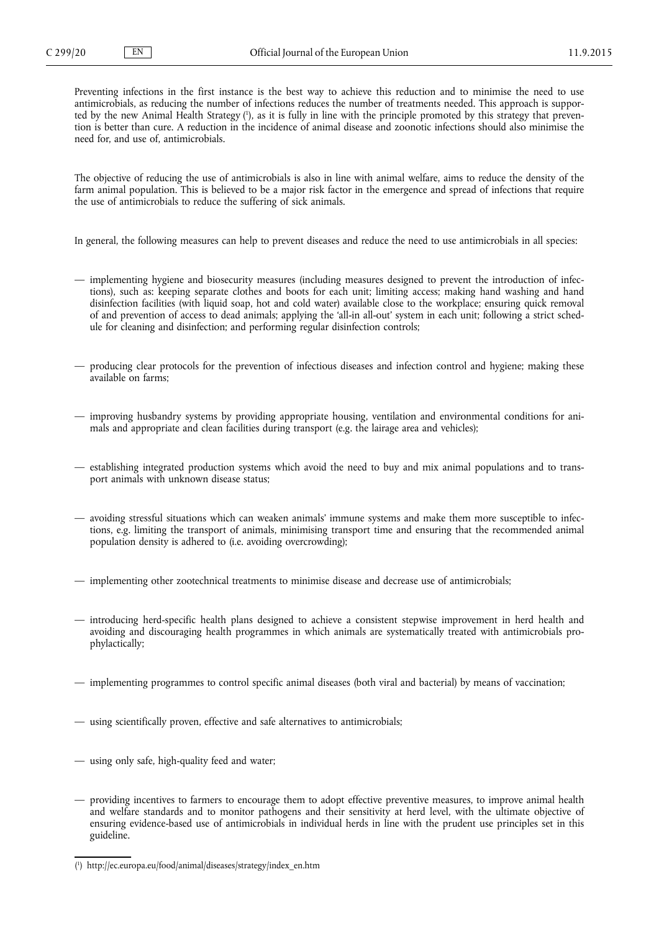Preventing infections in the first instance is the best way to achieve this reduction and to minimise the need to use antimicrobials, as reducing the number of infections reduces the number of treatments needed. This approach is supported by the new Animal Health Strategy ( 1 ), as it is fully in line with the principle promoted by this strategy that prevention is better than cure. A reduction in the incidence of animal disease and zoonotic infections should also minimise the need for, and use of, antimicrobials.

The objective of reducing the use of antimicrobials is also in line with animal welfare, aims to reduce the density of the farm animal population. This is believed to be a major risk factor in the emergence and spread of infections that require the use of antimicrobials to reduce the suffering of sick animals.

In general, the following measures can help to prevent diseases and reduce the need to use antimicrobials in all species:

- implementing hygiene and biosecurity measures (including measures designed to prevent the introduction of infections), such as: keeping separate clothes and boots for each unit; limiting access; making hand washing and hand disinfection facilities (with liquid soap, hot and cold water) available close to the workplace; ensuring quick removal of and prevention of access to dead animals; applying the 'all-in all-out' system in each unit; following a strict schedule for cleaning and disinfection; and performing regular disinfection controls;
- producing clear protocols for the prevention of infectious diseases and infection control and hygiene; making these available on farms;
- improving husbandry systems by providing appropriate housing, ventilation and environmental conditions for animals and appropriate and clean facilities during transport (e.g. the lairage area and vehicles);
- establishing integrated production systems which avoid the need to buy and mix animal populations and to transport animals with unknown disease status;
- avoiding stressful situations which can weaken animals' immune systems and make them more susceptible to infections, e.g. limiting the transport of animals, minimising transport time and ensuring that the recommended animal population density is adhered to (i.e. avoiding overcrowding);
- implementing other zootechnical treatments to minimise disease and decrease use of antimicrobials;
- introducing herd-specific health plans designed to achieve a consistent stepwise improvement in herd health and avoiding and discouraging health programmes in which animals are systematically treated with antimicrobials prophylactically;
- implementing programmes to control specific animal diseases (both viral and bacterial) by means of vaccination;
- using scientifically proven, effective and safe alternatives to antimicrobials;
- using only safe, high-quality feed and water;
- providing incentives to farmers to encourage them to adopt effective preventive measures, to improve animal health and welfare standards and to monitor pathogens and their sensitivity at herd level, with the ultimate objective of ensuring evidence-based use of antimicrobials in individual herds in line with the prudent use principles set in this guideline.

<sup>(</sup> 1 ) [http://ec.europa.eu/food/animal/diseases/strategy/index\\_en.htm](http://ec.europa.eu/food/animal/diseases/strategy/index_en.htm)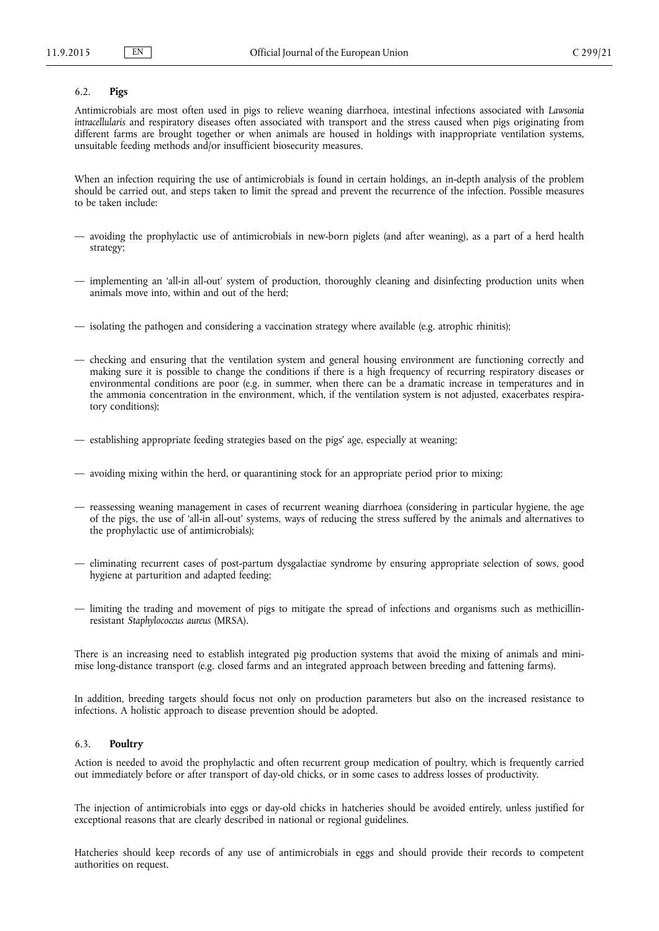# <span id="page-14-0"></span>6.2. **Pigs**

Antimicrobials are most often used in pigs to relieve weaning diarrhoea, intestinal infections associated with *Lawsonia intracellularis* and respiratory diseases often associated with transport and the stress caused when pigs originating from different farms are brought together or when animals are housed in holdings with inappropriate ventilation systems, unsuitable feeding methods and/or insufficient biosecurity measures.

When an infection requiring the use of antimicrobials is found in certain holdings, an in-depth analysis of the problem should be carried out, and steps taken to limit the spread and prevent the recurrence of the infection. Possible measures to be taken include:

- avoiding the prophylactic use of antimicrobials in new-born piglets (and after weaning), as a part of a herd health strategy;
- implementing an 'all-in all-out' system of production, thoroughly cleaning and disinfecting production units when animals move into, within and out of the herd;
- isolating the pathogen and considering a vaccination strategy where available (e.g. atrophic rhinitis);
- checking and ensuring that the ventilation system and general housing environment are functioning correctly and making sure it is possible to change the conditions if there is a high frequency of recurring respiratory diseases or environmental conditions are poor (e.g. in summer, when there can be a dramatic increase in temperatures and in the ammonia concentration in the environment, which, if the ventilation system is not adjusted, exacerbates respiratory conditions);
- establishing appropriate feeding strategies based on the pigs' age, especially at weaning;
- avoiding mixing within the herd, or quarantining stock for an appropriate period prior to mixing;
- reassessing weaning management in cases of recurrent weaning diarrhoea (considering in particular hygiene, the age of the pigs, the use of 'all-in all-out' systems, ways of reducing the stress suffered by the animals and alternatives to the prophylactic use of antimicrobials);
- eliminating recurrent cases of post-partum dysgalactiae syndrome by ensuring appropriate selection of sows, good hygiene at parturition and adapted feeding;
- limiting the trading and movement of pigs to mitigate the spread of infections and organisms such as methicillinresistant *Staphylococcus aureus* (MRSA).

There is an increasing need to establish integrated pig production systems that avoid the mixing of animals and minimise long-distance transport (e.g. closed farms and an integrated approach between breeding and fattening farms).

In addition, breeding targets should focus not only on production parameters but also on the increased resistance to infections. A holistic approach to disease prevention should be adopted.

## 6.3. **Poultry**

Action is needed to avoid the prophylactic and often recurrent group medication of poultry, which is frequently carried out immediately before or after transport of day-old chicks, or in some cases to address losses of productivity.

The injection of antimicrobials into eggs or day-old chicks in hatcheries should be avoided entirely, unless justified for exceptional reasons that are clearly described in national or regional guidelines.

Hatcheries should keep records of any use of antimicrobials in eggs and should provide their records to competent authorities on request.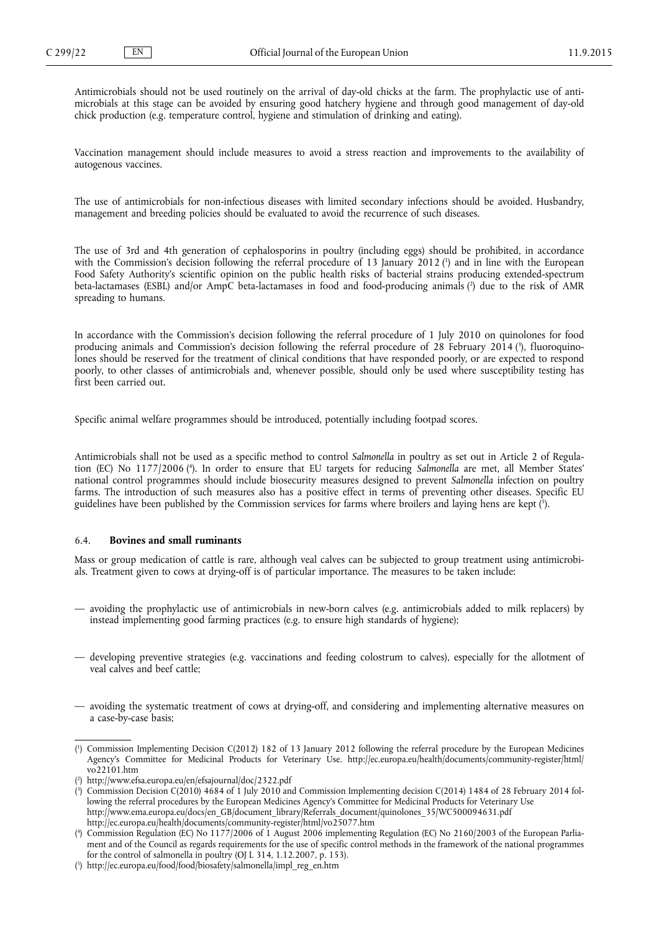<span id="page-15-0"></span>Antimicrobials should not be used routinely on the arrival of day-old chicks at the farm. The prophylactic use of antimicrobials at this stage can be avoided by ensuring good hatchery hygiene and through good management of day-old chick production (e.g. temperature control, hygiene and stimulation of drinking and eating).

Vaccination management should include measures to avoid a stress reaction and improvements to the availability of autogenous vaccines.

The use of antimicrobials for non-infectious diseases with limited secondary infections should be avoided. Husbandry, management and breeding policies should be evaluated to avoid the recurrence of such diseases.

The use of 3rd and 4th generation of cephalosporins in poultry (including eggs) should be prohibited, in accordance with the Commission's decision following the referral procedure of 13 January 2012 ( 1 ) and in line with the European Food Safety Authority's scientific opinion on the public health risks of bacterial strains producing extended-spectrum beta-lactamases (ESBL) and/or AmpC beta-lactamases in food and food-producing animals ( 2 ) due to the risk of AMR spreading to humans.

In accordance with the Commission's decision following the referral procedure of 1 July 2010 on quinolones for food producing animals and Commission's decision following the referral procedure of 28 February 2014 (<sup>3</sup>), fluoroquinolones should be reserved for the treatment of clinical conditions that have responded poorly, or are expected to respond poorly, to other classes of antimicrobials and, whenever possible, should only be used where susceptibility testing has first been carried out.

Specific animal welfare programmes should be introduced, potentially including footpad scores.

Antimicrobials shall not be used as a specific method to control *Salmonella* in poultry as set out in Article 2 of Regulation (EC) No 1177/2006 ( 4 ). In order to ensure that EU targets for reducing *Salmonella* are met, all Member States' national control programmes should include biosecurity measures designed to prevent *Salmonella* infection on poultry farms. The introduction of such measures also has a positive effect in terms of preventing other diseases. Specific EU guidelines have been published by the Commission services for farms where broilers and laying hens are kept ( 5 ).

# 6.4. **Bovines and small ruminants**

Mass or group medication of cattle is rare, although veal calves can be subjected to group treatment using antimicrobials. Treatment given to cows at drying-off is of particular importance. The measures to be taken include:

- avoiding the prophylactic use of antimicrobials in new-born calves (e.g. antimicrobials added to milk replacers) by instead implementing good farming practices (e.g. to ensure high standards of hygiene);
- developing preventive strategies (e.g. vaccinations and feeding colostrum to calves), especially for the allotment of veal calves and beef cattle;
- avoiding the systematic treatment of cows at drying-off, and considering and implementing alternative measures on a case-by-case basis;

<sup>(</sup> 1 ) Commission Implementing Decision C(2012) 182 of 13 January 2012 following the referral procedure by the European Medicines Agency's Committee for Medicinal Products for Veterinary Use. [http://ec.europa.eu/health/documents/community-register/html/](http://ec.europa.eu/health/documents/community-register/html/vo22101.htm) [vo22101.htm](http://ec.europa.eu/health/documents/community-register/html/vo22101.htm)

<sup>(</sup> 2 ) <http://www.efsa.europa.eu/en/efsajournal/doc/2322.pdf>

<sup>(</sup> 3 ) Commission Decision C(2010) 4684 of 1 July 2010 and Commission Implementing decision C(2014) 1484 of 28 February 2014 following the referral procedures by the European Medicines Agency's Committee for Medicinal Products for Veterinary Use [http://www.ema.europa.eu/docs/en\\_GB/document\\_library/Referrals\\_document/quinolones\\_35/WC500094631.pdf](http://www.ema.europa.eu/docs/en_GB/document_library/Referrals_document/quinolones_35/WC500094631.pdf) <http://ec.europa.eu/health/documents/community-register/html/vo25077.htm>

<sup>(</sup> 4 ) Commission Regulation (EC) No 1177/2006 of 1 August 2006 implementing Regulation (EC) No 2160/2003 of the European Parliament and of the Council as regards requirements for the use of specific control methods in the framework of the national programmes for the control of salmonella in poultry (OJ L 314, 1.12.2007, p. 153).

<sup>(</sup> 5 ) [http://ec.europa.eu/food/food/biosafety/salmonella/impl\\_reg\\_en.htm](http://ec.europa.eu/food/food/biosafety/salmonella/impl_reg_en.htm)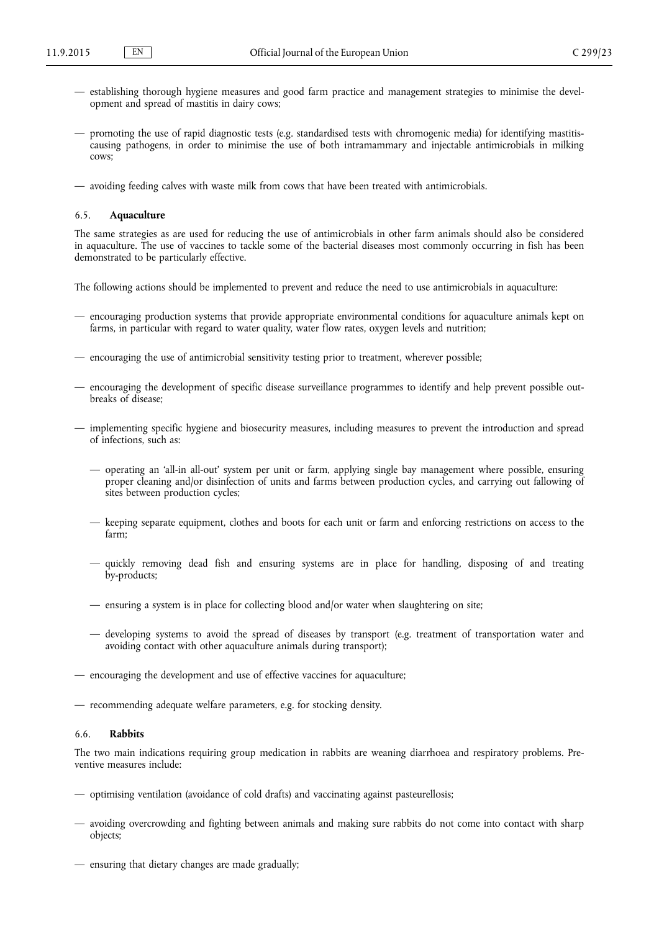- <span id="page-16-0"></span>— establishing thorough hygiene measures and good farm practice and management strategies to minimise the development and spread of mastitis in dairy cows;
- promoting the use of rapid diagnostic tests (e.g. standardised tests with chromogenic media) for identifying mastitiscausing pathogens, in order to minimise the use of both intramammary and injectable antimicrobials in milking cows;
- avoiding feeding calves with waste milk from cows that have been treated with antimicrobials.

### 6.5. **Aquaculture**

The same strategies as are used for reducing the use of antimicrobials in other farm animals should also be considered in aquaculture. The use of vaccines to tackle some of the bacterial diseases most commonly occurring in fish has been demonstrated to be particularly effective.

The following actions should be implemented to prevent and reduce the need to use antimicrobials in aquaculture:

- encouraging production systems that provide appropriate environmental conditions for aquaculture animals kept on farms, in particular with regard to water quality, water flow rates, oxygen levels and nutrition;
- encouraging the use of antimicrobial sensitivity testing prior to treatment, wherever possible;
- encouraging the development of specific disease surveillance programmes to identify and help prevent possible outbreaks of disease;
- implementing specific hygiene and biosecurity measures, including measures to prevent the introduction and spread of infections, such as:
	- operating an 'all-in all-out' system per unit or farm, applying single bay management where possible, ensuring proper cleaning and/or disinfection of units and farms between production cycles, and carrying out fallowing of sites between production cycles;
	- keeping separate equipment, clothes and boots for each unit or farm and enforcing restrictions on access to the farm;
	- quickly removing dead fish and ensuring systems are in place for handling, disposing of and treating by-products;
	- ensuring a system is in place for collecting blood and/or water when slaughtering on site;
	- developing systems to avoid the spread of diseases by transport (e.g. treatment of transportation water and avoiding contact with other aquaculture animals during transport);
- encouraging the development and use of effective vaccines for aquaculture;
- recommending adequate welfare parameters, e.g. for stocking density.

# 6.6. **Rabbits**

The two main indications requiring group medication in rabbits are weaning diarrhoea and respiratory problems. Preventive measures include:

- optimising ventilation (avoidance of cold drafts) and vaccinating against pasteurellosis;
- avoiding overcrowding and fighting between animals and making sure rabbits do not come into contact with sharp objects;
- ensuring that dietary changes are made gradually;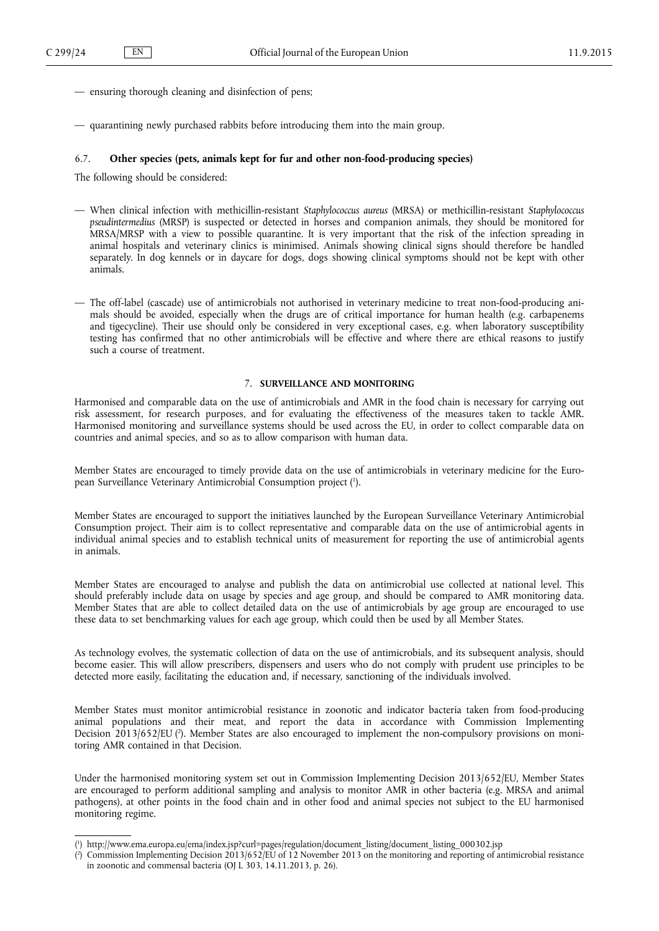- <span id="page-17-0"></span>— ensuring thorough cleaning and disinfection of pens;
- quarantining newly purchased rabbits before introducing them into the main group.

### 6.7. **Other species (pets, animals kept for fur and other non-food-producing species)**

The following should be considered:

- When clinical infection with methicillin-resistant *Staphylococcus aureus* (MRSA) or methicillin-resistant *Staphylococcus pseudintermedius* (MRSP) is suspected or detected in horses and companion animals, they should be monitored for MRSA/MRSP with a view to possible quarantine. It is very important that the risk of the infection spreading in animal hospitals and veterinary clinics is minimised. Animals showing clinical signs should therefore be handled separately. In dog kennels or in daycare for dogs, dogs showing clinical symptoms should not be kept with other animals.
- The off-label (cascade) use of antimicrobials not authorised in veterinary medicine to treat non-food-producing animals should be avoided, especially when the drugs are of critical importance for human health (e.g. carbapenems and tigecycline). Their use should only be considered in very exceptional cases, e.g. when laboratory susceptibility testing has confirmed that no other antimicrobials will be effective and where there are ethical reasons to justify such a course of treatment.

# 7. **SURVEILLANCE AND MONITORING**

Harmonised and comparable data on the use of antimicrobials and AMR in the food chain is necessary for carrying out risk assessment, for research purposes, and for evaluating the effectiveness of the measures taken to tackle AMR. Harmonised monitoring and surveillance systems should be used across the EU, in order to collect comparable data on countries and animal species, and so as to allow comparison with human data.

Member States are encouraged to timely provide data on the use of antimicrobials in veterinary medicine for the European Surveillance Veterinary Antimicrobial Consumption project ( 1 ).

Member States are encouraged to support the initiatives launched by the European Surveillance Veterinary Antimicrobial Consumption project. Their aim is to collect representative and comparable data on the use of antimicrobial agents in individual animal species and to establish technical units of measurement for reporting the use of antimicrobial agents in animals.

Member States are encouraged to analyse and publish the data on antimicrobial use collected at national level. This should preferably include data on usage by species and age group, and should be compared to AMR monitoring data. Member States that are able to collect detailed data on the use of antimicrobials by age group are encouraged to use these data to set benchmarking values for each age group, which could then be used by all Member States.

As technology evolves, the systematic collection of data on the use of antimicrobials, and its subsequent analysis, should become easier. This will allow prescribers, dispensers and users who do not comply with prudent use principles to be detected more easily, facilitating the education and, if necessary, sanctioning of the individuals involved.

Member States must monitor antimicrobial resistance in zoonotic and indicator bacteria taken from food-producing animal populations and their meat, and report the data in accordance with Commission Implementing Decision 2013/652/EU (<sup>2</sup>). Member States are also encouraged to implement the non-compulsory provisions on monitoring AMR contained in that Decision.

Under the harmonised monitoring system set out in Commission Implementing Decision 2013/652/EU, Member States are encouraged to perform additional sampling and analysis to monitor AMR in other bacteria (e.g. MRSA and animal pathogens), at other points in the food chain and in other food and animal species not subject to the EU harmonised monitoring regime.

<sup>(</sup> 1 ) [http://www.ema.europa.eu/ema/index.jsp?curl=pages/regulation/document\\_listing/document\\_listing\\_000302.jsp](http://www.ema.europa.eu/ema/index.jsp?curl=pages/regulation/document_listing/document_listing_000302.jsp)

<sup>(</sup> 2 ) Commission Implementing Decision 2013/652/EU of 12 November 2013 on the monitoring and reporting of antimicrobial resistance in zoonotic and commensal bacteria (OJ L 303, 14.11.2013, p. 26).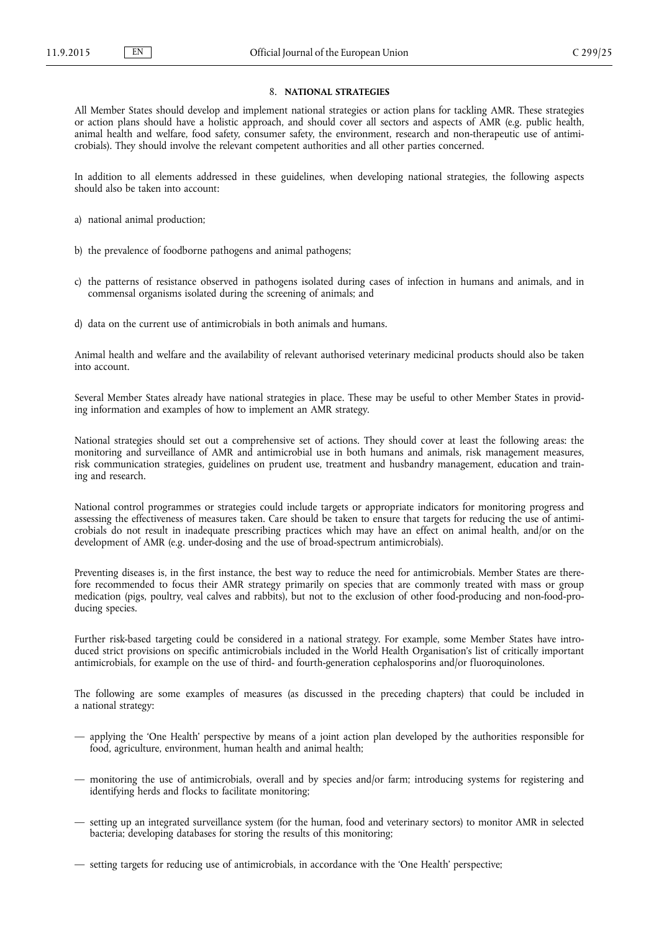# 8. **NATIONAL STRATEGIES**

<span id="page-18-0"></span>All Member States should develop and implement national strategies or action plans for tackling AMR. These strategies or action plans should have a holistic approach, and should cover all sectors and aspects of AMR (e.g. public health, animal health and welfare, food safety, consumer safety, the environment, research and non-therapeutic use of antimicrobials). They should involve the relevant competent authorities and all other parties concerned.

In addition to all elements addressed in these guidelines, when developing national strategies, the following aspects should also be taken into account:

- a) national animal production;
- b) the prevalence of foodborne pathogens and animal pathogens;
- c) the patterns of resistance observed in pathogens isolated during cases of infection in humans and animals, and in commensal organisms isolated during the screening of animals; and
- d) data on the current use of antimicrobials in both animals and humans.

Animal health and welfare and the availability of relevant authorised veterinary medicinal products should also be taken into account.

Several Member States already have national strategies in place. These may be useful to other Member States in providing information and examples of how to implement an AMR strategy.

National strategies should set out a comprehensive set of actions. They should cover at least the following areas: the monitoring and surveillance of AMR and antimicrobial use in both humans and animals, risk management measures, risk communication strategies, guidelines on prudent use, treatment and husbandry management, education and training and research.

National control programmes or strategies could include targets or appropriate indicators for monitoring progress and assessing the effectiveness of measures taken. Care should be taken to ensure that targets for reducing the use of antimicrobials do not result in inadequate prescribing practices which may have an effect on animal health, and/or on the development of AMR (e.g. under-dosing and the use of broad-spectrum antimicrobials).

Preventing diseases is, in the first instance, the best way to reduce the need for antimicrobials. Member States are therefore recommended to focus their AMR strategy primarily on species that are commonly treated with mass or group medication (pigs, poultry, veal calves and rabbits), but not to the exclusion of other food-producing and non-food-producing species.

Further risk-based targeting could be considered in a national strategy. For example, some Member States have introduced strict provisions on specific antimicrobials included in the World Health Organisation's list of critically important antimicrobials, for example on the use of third- and fourth-generation cephalosporins and/or fluoroquinolones.

The following are some examples of measures (as discussed in the preceding chapters) that could be included in a national strategy:

- applying the 'One Health' perspective by means of a joint action plan developed by the authorities responsible for food, agriculture, environment, human health and animal health;
- monitoring the use of antimicrobials, overall and by species and/or farm; introducing systems for registering and identifying herds and flocks to facilitate monitoring;
- setting up an integrated surveillance system (for the human, food and veterinary sectors) to monitor AMR in selected bacteria; developing databases for storing the results of this monitoring;
- setting targets for reducing use of antimicrobials, in accordance with the 'One Health' perspective;